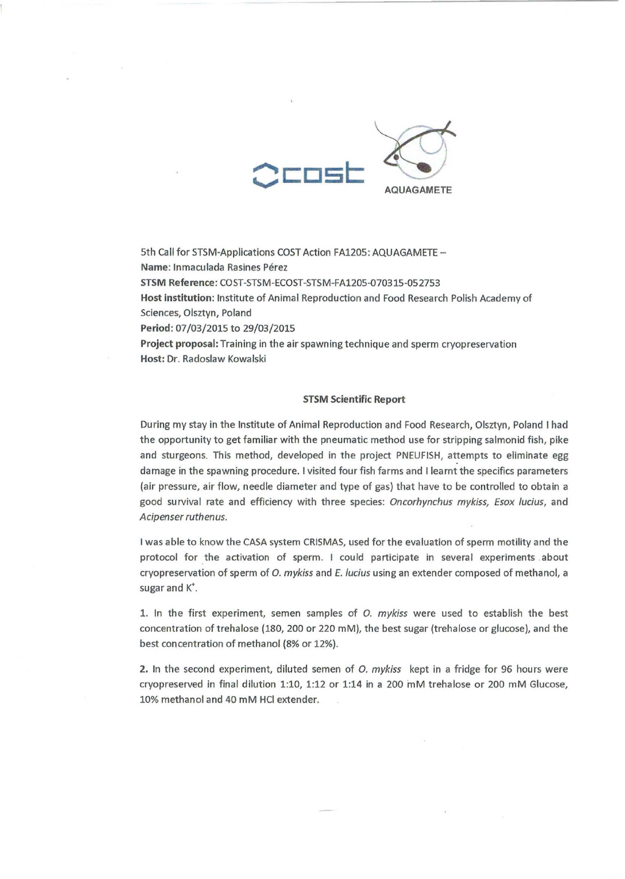

5th Call for STSM-Applications COST Action FA1205: AQUAGAMETE -Name: Inmaculada Rasines Pérez STSM Reference: COST-STSM-ECOST -STSM-FA1205-070315-052753 Host institution: Institute of Animal Reproduction and Food Research Polish Academy of Sciences, Olsztyn, Poland Period: 07/03/2015 to 29/03/2015 Project proposal: Training in the air spawning technique and sperm cryopreservation Host: Dr. Radoslaw Kowalski

## STSM Scientific Report

During my stay in the Institute of Animal Reproduction and Food Research, Olsztyn, Poland I had the opportunity to get familiar with the pneumatic method use for stripping salmonid fish, pike and sturgeons. This method, developed in the project PNEUFISH, attempts to eliminate egg damage in the spawning procedure. I visited four fish farms and Ileamt the specifics parameters (air pressure, air flow, needle diameter and type of gas) that have to be controlled to obtain a good survival rate and efficiency with three species: Oncorhynchus mykiss, Esox lucius, and Acipenser ruthenus.

I was able to know the CASA system CRISMAS, used for the evaluation of sperm motility and the protocol for the activation of sperm. I could participate in several experiments about cryopreservation of sperm of O. mykiss and *E.* /ucius using an extender composed of methanol, a sugar and K'.

1. In the first experiment, semen samples of O. mykiss were used to establish the best concentration of trehalose (180, 200 or 220 mM), the best sugar (trehalose or glucose), and the best concentration of methanol (8% or 12%).

2. In the second experiment, diluted semen of *O. mykiss* kept in a fridge for 96 hours were cryopreserved in final dilution 1:10, 1:12 or 1:14 in a 200 mM trehalose or 200 mM Glucose, 10% methanol and 40 mM HCI extender.